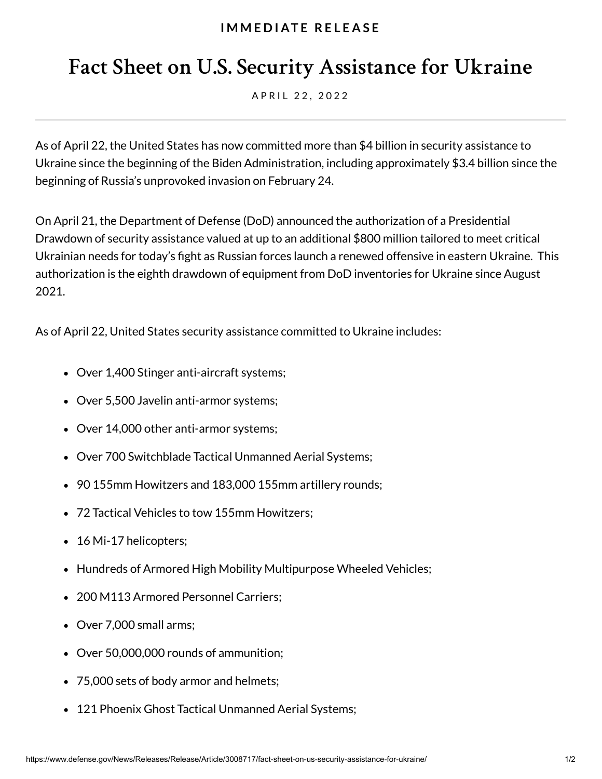## **I M M E D I AT E R E L E A S E**

## **Fact Sheet on U.S. Security Assistance for Ukraine**

A P R I L 2 2 . 2 0 2 2

As of April 22, the United States has now committed more than \$4 billion in security assistance to Ukraine since the beginning of the Biden Administration, including approximately \$3.4 billion since the beginning of Russia's unprovoked invasion on February 24.

On April 21, the Department of Defense (DoD) announced the authorization of a Presidential Drawdown of security assistance valued at up to an additional \$800 million tailored to meet critical Ukrainian needs for today's fight as Russian forces launch a renewed offensive in eastern Ukraine. This authorization is the eighth drawdown of equipment from DoD inventories for Ukraine since August 2021.

As of April 22, United States security assistance committed to Ukraine includes:

- Over 1,400 Stinger anti-aircraft systems;
- Over 5,500 Javelin anti-armor systems;
- Over 14,000 other anti-armor systems;
- Over 700 Switchblade Tactical Unmanned Aerial Systems;
- 90 155mm Howitzers and 183,000 155mm artillery rounds;
- 72 Tactical Vehicles to tow 155mm Howitzers;
- 16 Mi-17 helicopters;
- Hundreds of Armored High Mobility Multipurpose Wheeled Vehicles;
- 200 M113 Armored Personnel Carriers:
- Over 7,000 small arms;
- Over 50,000,000 rounds of ammunition;
- 75,000 sets of body armor and helmets;
- 121 Phoenix Ghost Tactical Unmanned Aerial Systems;